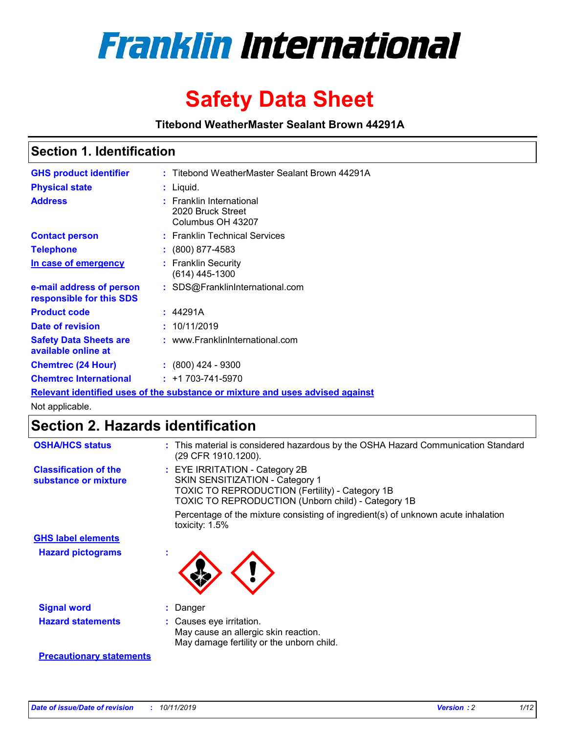

# **Safety Data Sheet**

**Titebond WeatherMaster Sealant Brown 44291A**

### **Section 1. Identification**

| <b>GHS product identifier</b>                                                 | : Titebond WeatherMaster Sealant Brown 44291A                      |  |  |  |
|-------------------------------------------------------------------------------|--------------------------------------------------------------------|--|--|--|
| <b>Physical state</b>                                                         | : Liquid.                                                          |  |  |  |
| <b>Address</b>                                                                | : Franklin International<br>2020 Bruck Street<br>Columbus OH 43207 |  |  |  |
| <b>Contact person</b>                                                         | : Franklin Technical Services                                      |  |  |  |
| <b>Telephone</b>                                                              | $\colon$ (800) 877-4583                                            |  |  |  |
| In case of emergency                                                          | : Franklin Security<br>$(614)$ 445-1300                            |  |  |  |
| e-mail address of person<br>responsible for this SDS                          | : SDS@FranklinInternational.com                                    |  |  |  |
| <b>Product code</b>                                                           | : 44291A                                                           |  |  |  |
| Date of revision                                                              | : 10/11/2019                                                       |  |  |  |
| <b>Safety Data Sheets are</b><br>available online at                          | : www.FranklinInternational.com                                    |  |  |  |
| <b>Chemtrec (24 Hour)</b>                                                     | $: (800)$ 424 - 9300                                               |  |  |  |
| <b>Chemtrec International</b>                                                 | $: +1703 - 741 - 5970$                                             |  |  |  |
| Relevant identified uses of the substance or mixture and uses advised against |                                                                    |  |  |  |

Not applicable.

## **Section 2. Hazards identification**

| <b>OSHA/HCS status</b>                               | : This material is considered hazardous by the OSHA Hazard Communication Standard<br>(29 CFR 1910.1200).                                                                                 |
|------------------------------------------------------|------------------------------------------------------------------------------------------------------------------------------------------------------------------------------------------|
| <b>Classification of the</b><br>substance or mixture | : EYE IRRITATION - Category 2B<br>SKIN SENSITIZATION - Category 1<br><b>TOXIC TO REPRODUCTION (Fertility) - Category 1B</b><br><b>TOXIC TO REPRODUCTION (Unborn child) - Category 1B</b> |
|                                                      | Percentage of the mixture consisting of ingredient(s) of unknown acute inhalation<br>toxicity: $1.5\%$                                                                                   |
| <b>GHS label elements</b>                            |                                                                                                                                                                                          |
| <b>Hazard pictograms</b>                             |                                                                                                                                                                                          |
| <b>Signal word</b>                                   | : Danger                                                                                                                                                                                 |
| <b>Hazard statements</b>                             | : Causes eye irritation.<br>May cause an allergic skin reaction.<br>May damage fertility or the unborn child.                                                                            |
| <b>Precautionary statements</b>                      |                                                                                                                                                                                          |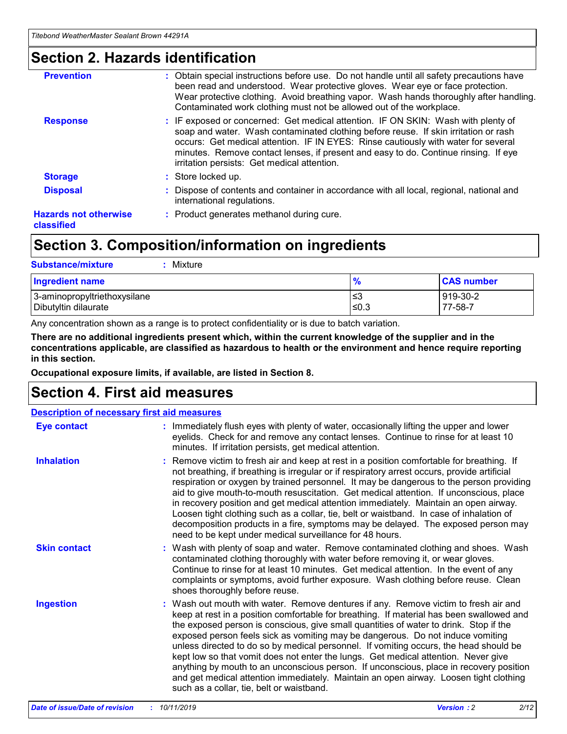### **Section 2. Hazards identification**

| <b>Prevention</b>                          | : Obtain special instructions before use. Do not handle until all safety precautions have<br>been read and understood. Wear protective gloves. Wear eye or face protection.<br>Wear protective clothing. Avoid breathing vapor. Wash hands thoroughly after handling.<br>Contaminated work clothing must not be allowed out of the workplace.                                                        |
|--------------------------------------------|------------------------------------------------------------------------------------------------------------------------------------------------------------------------------------------------------------------------------------------------------------------------------------------------------------------------------------------------------------------------------------------------------|
| <b>Response</b>                            | : IF exposed or concerned: Get medical attention. IF ON SKIN: Wash with plenty of<br>soap and water. Wash contaminated clothing before reuse. If skin irritation or rash<br>occurs: Get medical attention. IF IN EYES: Rinse cautiously with water for several<br>minutes. Remove contact lenses, if present and easy to do. Continue rinsing. If eye<br>irritation persists: Get medical attention. |
| <b>Storage</b>                             | : Store locked up.                                                                                                                                                                                                                                                                                                                                                                                   |
| <b>Disposal</b>                            | : Dispose of contents and container in accordance with all local, regional, national and<br>international regulations.                                                                                                                                                                                                                                                                               |
| <b>Hazards not otherwise</b><br>classified | : Product generates methanol during cure.                                                                                                                                                                                                                                                                                                                                                            |
|                                            |                                                                                                                                                                                                                                                                                                                                                                                                      |

### **Section 3. Composition/information on ingredients**

| <b>Substance/mixture</b><br>: Mixture                |               |                     |
|------------------------------------------------------|---------------|---------------------|
| Ingredient name                                      | $\frac{9}{6}$ | <b>CAS number</b>   |
| 3-aminopropyltriethoxysilane<br>Dibutyltin dilaurate | צ≥<br>≤0.3    | 919-30-2<br>77-58-7 |

Any concentration shown as a range is to protect confidentiality or is due to batch variation.

**There are no additional ingredients present which, within the current knowledge of the supplier and in the concentrations applicable, are classified as hazardous to health or the environment and hence require reporting in this section.**

**Occupational exposure limits, if available, are listed in Section 8.**

### **Section 4. First aid measures**

| <b>Description of necessary first aid measures</b> |                                                                                                                                                                                                                                                                                                                                                                                                                                                                                                                                                                                                                                                                                                                                                                           |  |  |  |
|----------------------------------------------------|---------------------------------------------------------------------------------------------------------------------------------------------------------------------------------------------------------------------------------------------------------------------------------------------------------------------------------------------------------------------------------------------------------------------------------------------------------------------------------------------------------------------------------------------------------------------------------------------------------------------------------------------------------------------------------------------------------------------------------------------------------------------------|--|--|--|
| <b>Eye contact</b>                                 | : Immediately flush eyes with plenty of water, occasionally lifting the upper and lower<br>eyelids. Check for and remove any contact lenses. Continue to rinse for at least 10<br>minutes. If irritation persists, get medical attention.                                                                                                                                                                                                                                                                                                                                                                                                                                                                                                                                 |  |  |  |
| <b>Inhalation</b>                                  | : Remove victim to fresh air and keep at rest in a position comfortable for breathing. If<br>not breathing, if breathing is irregular or if respiratory arrest occurs, provide artificial<br>respiration or oxygen by trained personnel. It may be dangerous to the person providing<br>aid to give mouth-to-mouth resuscitation. Get medical attention. If unconscious, place<br>in recovery position and get medical attention immediately. Maintain an open airway.<br>Loosen tight clothing such as a collar, tie, belt or waistband. In case of inhalation of<br>decomposition products in a fire, symptoms may be delayed. The exposed person may<br>need to be kept under medical surveillance for 48 hours.                                                       |  |  |  |
| <b>Skin contact</b>                                | : Wash with plenty of soap and water. Remove contaminated clothing and shoes. Wash<br>contaminated clothing thoroughly with water before removing it, or wear gloves.<br>Continue to rinse for at least 10 minutes. Get medical attention. In the event of any<br>complaints or symptoms, avoid further exposure. Wash clothing before reuse. Clean<br>shoes thoroughly before reuse.                                                                                                                                                                                                                                                                                                                                                                                     |  |  |  |
| <b>Ingestion</b>                                   | : Wash out mouth with water. Remove dentures if any. Remove victim to fresh air and<br>keep at rest in a position comfortable for breathing. If material has been swallowed and<br>the exposed person is conscious, give small quantities of water to drink. Stop if the<br>exposed person feels sick as vomiting may be dangerous. Do not induce vomiting<br>unless directed to do so by medical personnel. If vomiting occurs, the head should be<br>kept low so that vomit does not enter the lungs. Get medical attention. Never give<br>anything by mouth to an unconscious person. If unconscious, place in recovery position<br>and get medical attention immediately. Maintain an open airway. Loosen tight clothing<br>such as a collar, tie, belt or waistband. |  |  |  |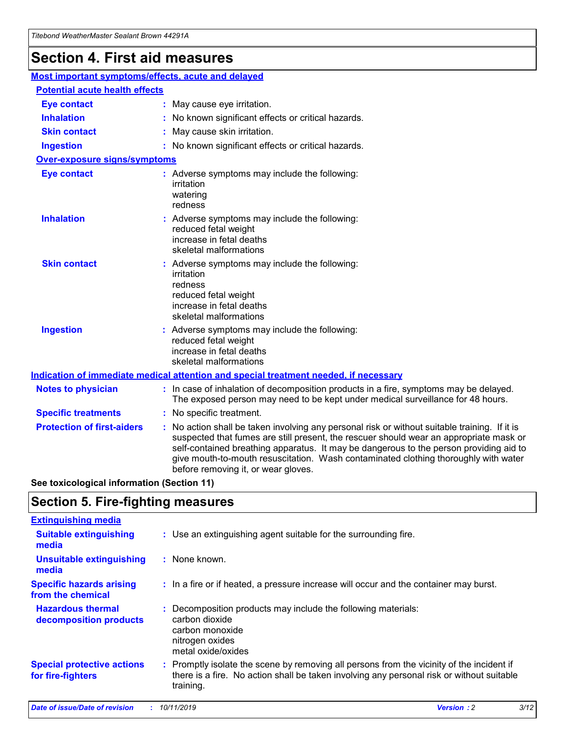## **Section 4. First aid measures**

| Most important symptoms/effects, acute and delayed |                                                                                                                                                                                                                                                                                                                                                                                                                 |
|----------------------------------------------------|-----------------------------------------------------------------------------------------------------------------------------------------------------------------------------------------------------------------------------------------------------------------------------------------------------------------------------------------------------------------------------------------------------------------|
| <b>Potential acute health effects</b>              |                                                                                                                                                                                                                                                                                                                                                                                                                 |
| <b>Eye contact</b>                                 | : May cause eye irritation.                                                                                                                                                                                                                                                                                                                                                                                     |
| <b>Inhalation</b>                                  | : No known significant effects or critical hazards.                                                                                                                                                                                                                                                                                                                                                             |
| <b>Skin contact</b>                                | : May cause skin irritation.                                                                                                                                                                                                                                                                                                                                                                                    |
| <b>Ingestion</b>                                   | : No known significant effects or critical hazards.                                                                                                                                                                                                                                                                                                                                                             |
| <b>Over-exposure signs/symptoms</b>                |                                                                                                                                                                                                                                                                                                                                                                                                                 |
| <b>Eye contact</b>                                 | : Adverse symptoms may include the following:<br>irritation<br>watering<br>redness                                                                                                                                                                                                                                                                                                                              |
| <b>Inhalation</b>                                  | : Adverse symptoms may include the following:<br>reduced fetal weight<br>increase in fetal deaths<br>skeletal malformations                                                                                                                                                                                                                                                                                     |
| <b>Skin contact</b>                                | : Adverse symptoms may include the following:<br>irritation<br>redness<br>reduced fetal weight<br>increase in fetal deaths<br>skeletal malformations                                                                                                                                                                                                                                                            |
| <b>Ingestion</b>                                   | : Adverse symptoms may include the following:<br>reduced fetal weight<br>increase in fetal deaths<br>skeletal malformations                                                                                                                                                                                                                                                                                     |
|                                                    | <b>Indication of immediate medical attention and special treatment needed, if necessary</b>                                                                                                                                                                                                                                                                                                                     |
| <b>Notes to physician</b>                          | : In case of inhalation of decomposition products in a fire, symptoms may be delayed.<br>The exposed person may need to be kept under medical surveillance for 48 hours.                                                                                                                                                                                                                                        |
| <b>Specific treatments</b>                         | : No specific treatment.                                                                                                                                                                                                                                                                                                                                                                                        |
| <b>Protection of first-aiders</b>                  | : No action shall be taken involving any personal risk or without suitable training. If it is<br>suspected that fumes are still present, the rescuer should wear an appropriate mask or<br>self-contained breathing apparatus. It may be dangerous to the person providing aid to<br>give mouth-to-mouth resuscitation. Wash contaminated clothing thoroughly with water<br>before removing it, or wear gloves. |

**See toxicological information (Section 11)**

### **Section 5. Fire-fighting measures**

| <b>Extinguishing media</b>                             |                                                                                                                                                                                                     |
|--------------------------------------------------------|-----------------------------------------------------------------------------------------------------------------------------------------------------------------------------------------------------|
| <b>Suitable extinguishing</b><br>media                 | : Use an extinguishing agent suitable for the surrounding fire.                                                                                                                                     |
| <b>Unsuitable extinguishing</b><br>media               | : None known.                                                                                                                                                                                       |
| <b>Specific hazards arising</b><br>from the chemical   | : In a fire or if heated, a pressure increase will occur and the container may burst.                                                                                                               |
| <b>Hazardous thermal</b><br>decomposition products     | : Decomposition products may include the following materials:<br>carbon dioxide<br>carbon monoxide<br>nitrogen oxides<br>metal oxide/oxides                                                         |
| <b>Special protective actions</b><br>for fire-fighters | : Promptly isolate the scene by removing all persons from the vicinity of the incident if<br>there is a fire. No action shall be taken involving any personal risk or without suitable<br>training. |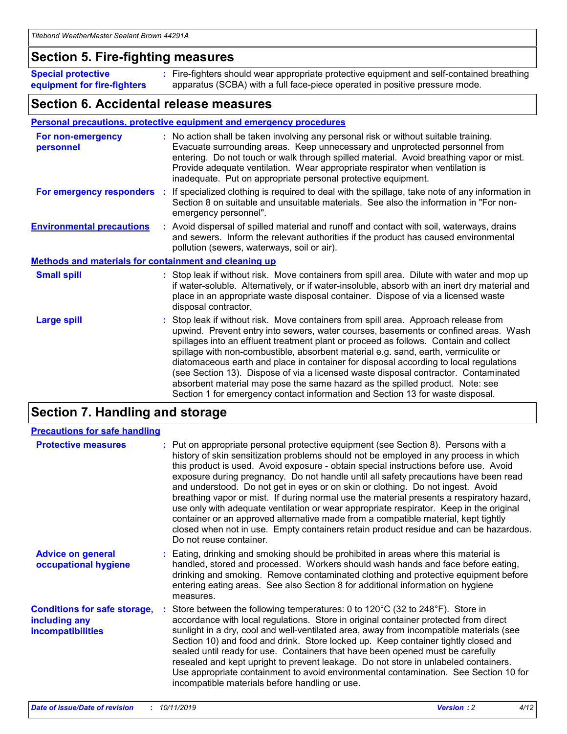### **Section 5. Fire-fighting measures**

**Special protective equipment for fire-fighters** Fire-fighters should wear appropriate protective equipment and self-contained breathing **:** apparatus (SCBA) with a full face-piece operated in positive pressure mode.

### **Section 6. Accidental release measures**

#### **Personal precautions, protective equipment and emergency procedures**

| For non-emergency<br>personnel                               | : No action shall be taken involving any personal risk or without suitable training.<br>Evacuate surrounding areas. Keep unnecessary and unprotected personnel from<br>entering. Do not touch or walk through spilled material. Avoid breathing vapor or mist.<br>Provide adequate ventilation. Wear appropriate respirator when ventilation is<br>inadequate. Put on appropriate personal protective equipment.                                                                                                                                                                                                                                                                                             |
|--------------------------------------------------------------|--------------------------------------------------------------------------------------------------------------------------------------------------------------------------------------------------------------------------------------------------------------------------------------------------------------------------------------------------------------------------------------------------------------------------------------------------------------------------------------------------------------------------------------------------------------------------------------------------------------------------------------------------------------------------------------------------------------|
|                                                              | For emergency responders : If specialized clothing is required to deal with the spillage, take note of any information in<br>Section 8 on suitable and unsuitable materials. See also the information in "For non-<br>emergency personnel".                                                                                                                                                                                                                                                                                                                                                                                                                                                                  |
| <b>Environmental precautions</b>                             | : Avoid dispersal of spilled material and runoff and contact with soil, waterways, drains<br>and sewers. Inform the relevant authorities if the product has caused environmental<br>pollution (sewers, waterways, soil or air).                                                                                                                                                                                                                                                                                                                                                                                                                                                                              |
| <b>Methods and materials for containment and cleaning up</b> |                                                                                                                                                                                                                                                                                                                                                                                                                                                                                                                                                                                                                                                                                                              |
| <b>Small spill</b>                                           | : Stop leak if without risk. Move containers from spill area. Dilute with water and mop up<br>if water-soluble. Alternatively, or if water-insoluble, absorb with an inert dry material and<br>place in an appropriate waste disposal container. Dispose of via a licensed waste<br>disposal contractor.                                                                                                                                                                                                                                                                                                                                                                                                     |
| <b>Large spill</b>                                           | : Stop leak if without risk. Move containers from spill area. Approach release from<br>upwind. Prevent entry into sewers, water courses, basements or confined areas. Wash<br>spillages into an effluent treatment plant or proceed as follows. Contain and collect<br>spillage with non-combustible, absorbent material e.g. sand, earth, vermiculite or<br>diatomaceous earth and place in container for disposal according to local regulations<br>(see Section 13). Dispose of via a licensed waste disposal contractor. Contaminated<br>absorbent material may pose the same hazard as the spilled product. Note: see<br>Section 1 for emergency contact information and Section 13 for waste disposal. |

### **Section 7. Handling and storage**

| <b>Precautions for safe handling</b>                                             |                                                                                                                                                                                                                                                                                                                                                                                                                                                                                                                                                                                                                                                                                                                                                                                                                                                  |
|----------------------------------------------------------------------------------|--------------------------------------------------------------------------------------------------------------------------------------------------------------------------------------------------------------------------------------------------------------------------------------------------------------------------------------------------------------------------------------------------------------------------------------------------------------------------------------------------------------------------------------------------------------------------------------------------------------------------------------------------------------------------------------------------------------------------------------------------------------------------------------------------------------------------------------------------|
| <b>Protective measures</b>                                                       | : Put on appropriate personal protective equipment (see Section 8). Persons with a<br>history of skin sensitization problems should not be employed in any process in which<br>this product is used. Avoid exposure - obtain special instructions before use. Avoid<br>exposure during pregnancy. Do not handle until all safety precautions have been read<br>and understood. Do not get in eyes or on skin or clothing. Do not ingest. Avoid<br>breathing vapor or mist. If during normal use the material presents a respiratory hazard,<br>use only with adequate ventilation or wear appropriate respirator. Keep in the original<br>container or an approved alternative made from a compatible material, kept tightly<br>closed when not in use. Empty containers retain product residue and can be hazardous.<br>Do not reuse container. |
| <b>Advice on general</b><br>occupational hygiene                                 | : Eating, drinking and smoking should be prohibited in areas where this material is<br>handled, stored and processed. Workers should wash hands and face before eating,<br>drinking and smoking. Remove contaminated clothing and protective equipment before<br>entering eating areas. See also Section 8 for additional information on hygiene<br>measures.                                                                                                                                                                                                                                                                                                                                                                                                                                                                                    |
| <b>Conditions for safe storage,</b><br>including any<br><b>incompatibilities</b> | : Store between the following temperatures: 0 to 120 $\degree$ C (32 to 248 $\degree$ F). Store in<br>accordance with local regulations. Store in original container protected from direct<br>sunlight in a dry, cool and well-ventilated area, away from incompatible materials (see<br>Section 10) and food and drink. Store locked up. Keep container tightly closed and<br>sealed until ready for use. Containers that have been opened must be carefully<br>resealed and kept upright to prevent leakage. Do not store in unlabeled containers.<br>Use appropriate containment to avoid environmental contamination. See Section 10 for<br>incompatible materials before handling or use.                                                                                                                                                   |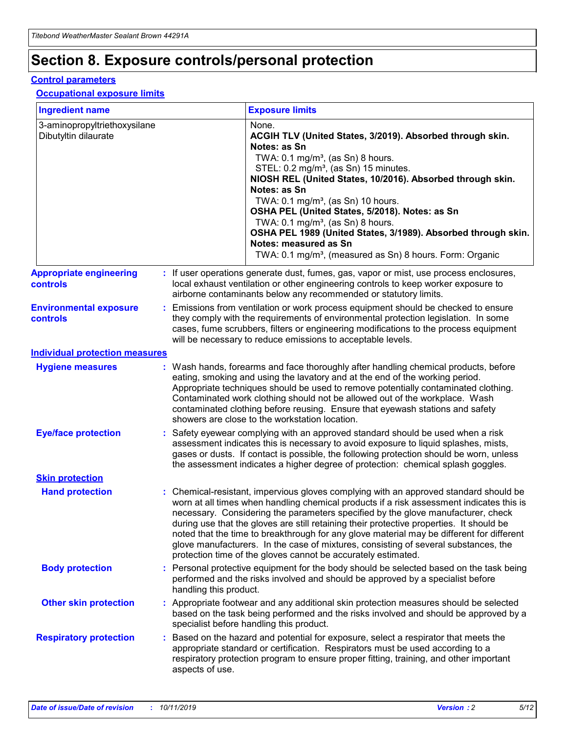## **Section 8. Exposure controls/personal protection**

#### **Control parameters**

#### **Occupational exposure limits**

| <b>Ingredient name</b>                               |    |                        | <b>Exposure limits</b>                                                                                                                                                                                                                                                                                                                                                                                                                                                                                                                                                                                                 |
|------------------------------------------------------|----|------------------------|------------------------------------------------------------------------------------------------------------------------------------------------------------------------------------------------------------------------------------------------------------------------------------------------------------------------------------------------------------------------------------------------------------------------------------------------------------------------------------------------------------------------------------------------------------------------------------------------------------------------|
| 3-aminopropyltriethoxysilane<br>Dibutyltin dilaurate |    |                        | None.<br>ACGIH TLV (United States, 3/2019). Absorbed through skin.<br>Notes: as Sn<br>TWA: $0.1 \text{ mg/m}^3$ , (as Sn) 8 hours.<br>STEL: 0.2 mg/m <sup>3</sup> , (as Sn) 15 minutes.<br>NIOSH REL (United States, 10/2016). Absorbed through skin.<br>Notes: as Sn<br>TWA: 0.1 mg/m <sup>3</sup> , (as Sn) 10 hours.<br>OSHA PEL (United States, 5/2018). Notes: as Sn<br>TWA: 0.1 mg/m <sup>3</sup> , (as Sn) 8 hours.<br>OSHA PEL 1989 (United States, 3/1989). Absorbed through skin.<br>Notes: measured as Sn<br>TWA: 0.1 mg/m <sup>3</sup> , (measured as Sn) 8 hours. Form: Organic                           |
| <b>Appropriate engineering</b><br>controls           |    |                        | : If user operations generate dust, fumes, gas, vapor or mist, use process enclosures,<br>local exhaust ventilation or other engineering controls to keep worker exposure to<br>airborne contaminants below any recommended or statutory limits.                                                                                                                                                                                                                                                                                                                                                                       |
| <b>Environmental exposure</b><br>controls            |    |                        | Emissions from ventilation or work process equipment should be checked to ensure<br>they comply with the requirements of environmental protection legislation. In some<br>cases, fume scrubbers, filters or engineering modifications to the process equipment<br>will be necessary to reduce emissions to acceptable levels.                                                                                                                                                                                                                                                                                          |
| <b>Individual protection measures</b>                |    |                        |                                                                                                                                                                                                                                                                                                                                                                                                                                                                                                                                                                                                                        |
| <b>Hygiene measures</b>                              |    |                        | : Wash hands, forearms and face thoroughly after handling chemical products, before<br>eating, smoking and using the lavatory and at the end of the working period.<br>Appropriate techniques should be used to remove potentially contaminated clothing.<br>Contaminated work clothing should not be allowed out of the workplace. Wash<br>contaminated clothing before reusing. Ensure that eyewash stations and safety<br>showers are close to the workstation location.                                                                                                                                            |
| <b>Eye/face protection</b>                           |    |                        | Safety eyewear complying with an approved standard should be used when a risk<br>assessment indicates this is necessary to avoid exposure to liquid splashes, mists,<br>gases or dusts. If contact is possible, the following protection should be worn, unless<br>the assessment indicates a higher degree of protection: chemical splash goggles.                                                                                                                                                                                                                                                                    |
| <b>Skin protection</b>                               |    |                        |                                                                                                                                                                                                                                                                                                                                                                                                                                                                                                                                                                                                                        |
| <b>Hand protection</b>                               |    |                        | : Chemical-resistant, impervious gloves complying with an approved standard should be<br>worn at all times when handling chemical products if a risk assessment indicates this is<br>necessary. Considering the parameters specified by the glove manufacturer, check<br>during use that the gloves are still retaining their protective properties. It should be<br>noted that the time to breakthrough for any glove material may be different for different<br>glove manufacturers. In the case of mixtures, consisting of several substances, the<br>protection time of the gloves cannot be accurately estimated. |
| <b>Body protection</b>                               |    | handling this product. | Personal protective equipment for the body should be selected based on the task being<br>performed and the risks involved and should be approved by a specialist before                                                                                                                                                                                                                                                                                                                                                                                                                                                |
| <b>Other skin protection</b>                         |    |                        | : Appropriate footwear and any additional skin protection measures should be selected<br>based on the task being performed and the risks involved and should be approved by a<br>specialist before handling this product.                                                                                                                                                                                                                                                                                                                                                                                              |
| <b>Respiratory protection</b>                        | ÷. | aspects of use.        | Based on the hazard and potential for exposure, select a respirator that meets the<br>appropriate standard or certification. Respirators must be used according to a<br>respiratory protection program to ensure proper fitting, training, and other important                                                                                                                                                                                                                                                                                                                                                         |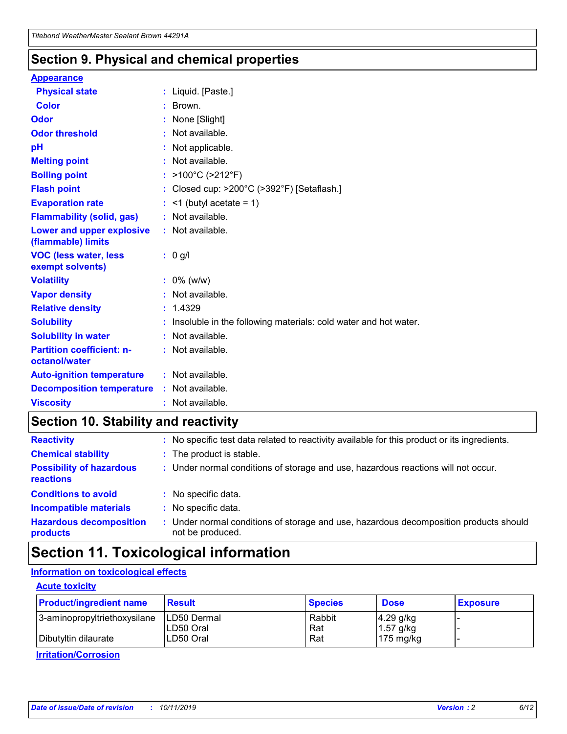### **Section 9. Physical and chemical properties**

#### **Appearance**

| <b>Physical state</b>                             | : Liquid. [Paste.]                                              |
|---------------------------------------------------|-----------------------------------------------------------------|
| Color                                             | $\therefore$ Brown.                                             |
| Odor                                              | : None [Slight]                                                 |
| <b>Odor threshold</b>                             | $:$ Not available.                                              |
| рH                                                | : Not applicable.                                               |
| <b>Melting point</b>                              | : Not available.                                                |
| <b>Boiling point</b>                              | : >100°C (>212°F)                                               |
| <b>Flash point</b>                                | : Closed cup: $>200^{\circ}$ C ( $>392^{\circ}$ F) [Setaflash.] |
| <b>Evaporation rate</b>                           | $:$ <1 (butyl acetate = 1)                                      |
| <b>Flammability (solid, gas)</b>                  | : Not available.                                                |
| Lower and upper explosive<br>(flammable) limits   | : Not available.                                                |
| <b>VOC (less water, less</b><br>exempt solvents)  | $: 0$ g/l                                                       |
|                                                   |                                                                 |
| <b>Volatility</b>                                 | $: 0\%$ (w/w)                                                   |
| <b>Vapor density</b>                              | : Not available.                                                |
| <b>Relative density</b>                           | : 1.4329                                                        |
| <b>Solubility</b>                                 | Insoluble in the following materials: cold water and hot water. |
| <b>Solubility in water</b>                        | : Not available.                                                |
| <b>Partition coefficient: n-</b><br>octanol/water | $:$ Not available.                                              |
| <b>Auto-ignition temperature</b>                  | : Not available.                                                |
| <b>Decomposition temperature</b>                  | : Not available.                                                |

### **Section 10. Stability and reactivity**

| <b>Reactivity</b>                            | : No specific test data related to reactivity available for this product or its ingredients.            |
|----------------------------------------------|---------------------------------------------------------------------------------------------------------|
| <b>Chemical stability</b>                    | : The product is stable.                                                                                |
| <b>Possibility of hazardous</b><br>reactions | : Under normal conditions of storage and use, hazardous reactions will not occur.                       |
| <b>Conditions to avoid</b>                   | : No specific data.                                                                                     |
| <b>Incompatible materials</b>                | : No specific data.                                                                                     |
| <b>Hazardous decomposition</b><br>products   | Under normal conditions of storage and use, hazardous decomposition products should<br>not be produced. |

### **Section 11. Toxicological information**

#### **Information on toxicological effects**

#### **Acute toxicity**

| <b>Product/ingredient name</b> | <b>Result</b>           | <b>Species</b> | <b>Dose</b>                | <b>Exposure</b> |
|--------------------------------|-------------------------|----------------|----------------------------|-----------------|
| 3-aminopropyltriethoxysilane   | <b>ILD50 Dermal</b>     | Rabbit         | 4.29 g/kg                  |                 |
| Dibutyltin dilaurate           | ILD50 Oral<br>LD50 Oral | Rat<br>Rat     | $1.57$ g/kg<br>175 $mg/kg$ |                 |
|                                |                         |                |                            |                 |

**Irritation/Corrosion**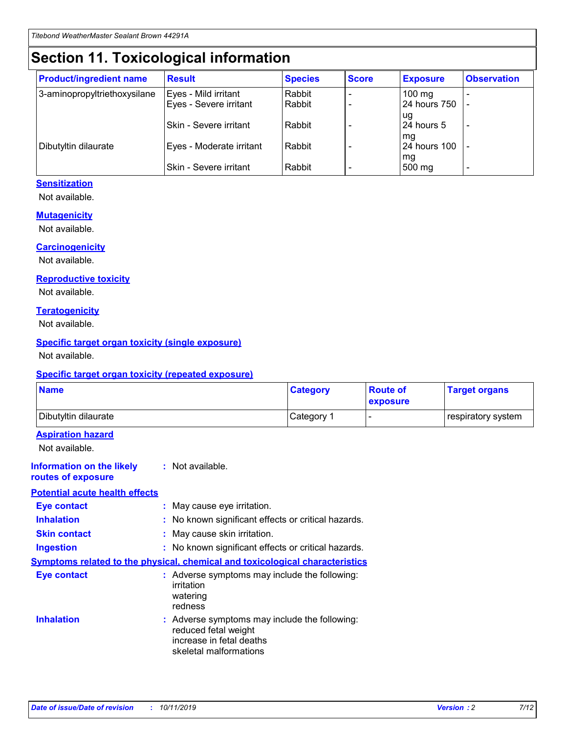## **Section 11. Toxicological information**

| <b>Product/ingredient name</b> | <b>Result</b>                 | <b>Species</b> | <b>Score</b> | <b>Exposure</b>    | <b>Observation</b> |
|--------------------------------|-------------------------------|----------------|--------------|--------------------|--------------------|
| 3-aminopropyltriethoxysilane   | Eyes - Mild irritant          | Rabbit         |              | $100$ mg           |                    |
|                                | Eyes - Severe irritant        | Rabbit         |              | 24 hours 750       |                    |
|                                |                               |                |              | ug                 |                    |
|                                | <b>Skin - Severe irritant</b> | Rabbit         |              | 24 hours 5         | ۰                  |
| Dibutyltin dilaurate           | Eyes - Moderate irritant      | Rabbit         |              | mq<br>24 hours 100 |                    |
|                                |                               |                |              | mg                 |                    |
|                                | Skin - Severe irritant        | Rabbit         |              | 500 mg             |                    |

#### **Sensitization**

Not available.

#### **Mutagenicity**

Not available.

#### **Carcinogenicity**

Not available.

#### **Reproductive toxicity**

Not available.

#### **Teratogenicity**

Not available.

#### **Specific target organ toxicity (single exposure)**

Not available.

#### **Specific target organ toxicity (repeated exposure)**

| <b>Name</b>                                                                         |                                                                            | <b>Category</b>                                     | <b>Route of</b><br>exposure | <b>Target organs</b> |
|-------------------------------------------------------------------------------------|----------------------------------------------------------------------------|-----------------------------------------------------|-----------------------------|----------------------|
| Dibutyltin dilaurate                                                                |                                                                            | Category 1                                          |                             | respiratory system   |
| <b>Aspiration hazard</b><br>Not available.                                          |                                                                            |                                                     |                             |                      |
| <b>Information on the likely</b><br>routes of exposure                              | : Not available.                                                           |                                                     |                             |                      |
| <b>Potential acute health effects</b>                                               |                                                                            |                                                     |                             |                      |
| <b>Eye contact</b>                                                                  | : May cause eye irritation.                                                |                                                     |                             |                      |
| <b>Inhalation</b>                                                                   |                                                                            | : No known significant effects or critical hazards. |                             |                      |
| <b>Skin contact</b>                                                                 | : May cause skin irritation.                                               |                                                     |                             |                      |
| <b>Ingestion</b>                                                                    |                                                                            | : No known significant effects or critical hazards. |                             |                      |
| <b>Symptoms related to the physical, chemical and toxicological characteristics</b> |                                                                            |                                                     |                             |                      |
| <b>Eye contact</b>                                                                  | irritation<br>watering<br>redness                                          | : Adverse symptoms may include the following:       |                             |                      |
| <b>Inhalation</b>                                                                   | reduced fetal weight<br>increase in fetal deaths<br>skeletal malformations | : Adverse symptoms may include the following:       |                             |                      |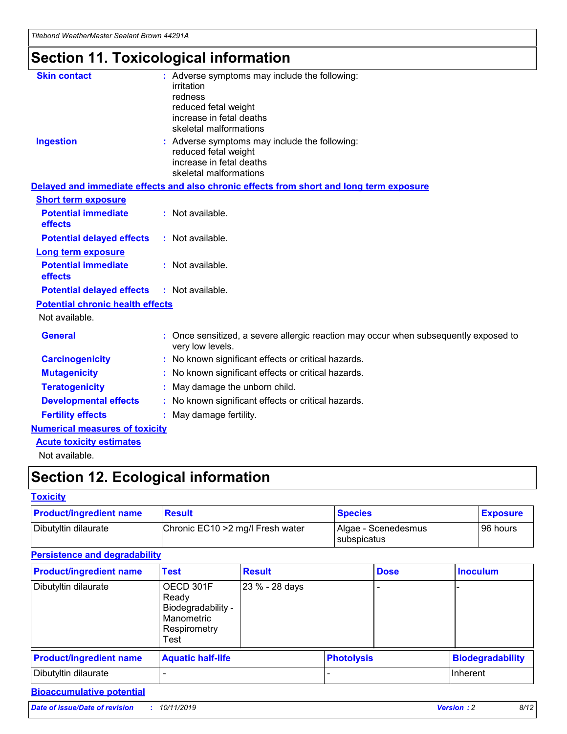## **Section 11. Toxicological information**

| <b>Skin contact</b>                     | : Adverse symptoms may include the following:<br>irritation<br>redness<br>reduced fetal weight<br>increase in fetal deaths<br>skeletal malformations |
|-----------------------------------------|------------------------------------------------------------------------------------------------------------------------------------------------------|
| <b>Ingestion</b>                        | : Adverse symptoms may include the following:<br>reduced fetal weight<br>increase in fetal deaths<br>skeletal malformations                          |
|                                         | Delayed and immediate effects and also chronic effects from short and long term exposure                                                             |
| <b>Short term exposure</b>              |                                                                                                                                                      |
| <b>Potential immediate</b><br>effects   | : Not available.                                                                                                                                     |
| <b>Potential delayed effects</b>        | : Not available.                                                                                                                                     |
| <b>Long term exposure</b>               |                                                                                                                                                      |
| <b>Potential immediate</b><br>effects   | : Not available.                                                                                                                                     |
| <b>Potential delayed effects</b>        | : Not available.                                                                                                                                     |
| <b>Potential chronic health effects</b> |                                                                                                                                                      |
| Not available.                          |                                                                                                                                                      |
| <b>General</b>                          | : Once sensitized, a severe allergic reaction may occur when subsequently exposed to<br>very low levels.                                             |
| <b>Carcinogenicity</b>                  | : No known significant effects or critical hazards.                                                                                                  |
| <b>Mutagenicity</b>                     | No known significant effects or critical hazards.                                                                                                    |
| <b>Teratogenicity</b>                   | May damage the unborn child.                                                                                                                         |
| <b>Developmental effects</b>            | No known significant effects or critical hazards.                                                                                                    |
| <b>Fertility effects</b>                | : May damage fertility.                                                                                                                              |
| <b>Numerical measures of toxicity</b>   |                                                                                                                                                      |
| <b>Acute toxicity estimates</b>         |                                                                                                                                                      |
|                                         |                                                                                                                                                      |

Not available.

## **Section 12. Ecological information**

#### **Toxicity**

| <b>Product/ingredient name</b> | <b>Result</b>                     | <b>Species</b>                       | <b>Exposure</b> |
|--------------------------------|-----------------------------------|--------------------------------------|-----------------|
| Dibutyltin dilaurate           | Chronic EC10 > 2 mg/l Fresh water | Algae - Scenedesmus<br>I subspicatus | l 96 hours i    |

#### **Persistence and degradability**

| <b>Product/ingredient name</b> | <b>Test</b>                                                                    | <b>Result</b>  |                   | <b>Dose</b> | <b>Inoculum</b>         |
|--------------------------------|--------------------------------------------------------------------------------|----------------|-------------------|-------------|-------------------------|
| Dibutyltin dilaurate           | OECD 301F<br>Ready<br>Biodegradability -<br>Manometric<br>Respirometry<br>Test | 23 % - 28 days |                   |             |                         |
| <b>Product/ingredient name</b> | <b>Aquatic half-life</b>                                                       |                | <b>Photolysis</b> |             | <b>Biodegradability</b> |
| Dibutyltin dilaurate           |                                                                                |                |                   |             | Inherent                |

#### **Bioaccumulative potential**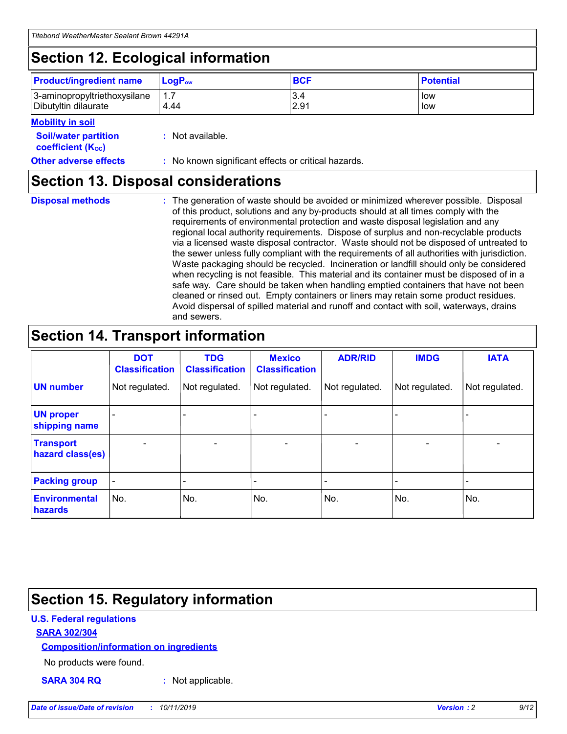## **Section 12. Ecological information**

| <b>Product/ingredient name</b> | $LoaPow$ | <b>BCF</b> | <b>Potential</b> |
|--------------------------------|----------|------------|------------------|
| 3-aminopropyltriethoxysilane   | 1.7      | 3.4        | low              |
| Dibutyltin dilaurate           | 4.44     | 2.91       | low              |

#### **Mobility in soil**

| <b>Soil/water partition</b><br>coefficient (K <sub>oc</sub> ) | : Not available.                                    |
|---------------------------------------------------------------|-----------------------------------------------------|
| <b>Other adverse effects</b>                                  | : No known significant effects or critical hazards. |

### **Section 13. Disposal considerations**

**Disposal methods :**

The generation of waste should be avoided or minimized wherever possible. Disposal of this product, solutions and any by-products should at all times comply with the requirements of environmental protection and waste disposal legislation and any regional local authority requirements. Dispose of surplus and non-recyclable products via a licensed waste disposal contractor. Waste should not be disposed of untreated to the sewer unless fully compliant with the requirements of all authorities with jurisdiction. Waste packaging should be recycled. Incineration or landfill should only be considered when recycling is not feasible. This material and its container must be disposed of in a safe way. Care should be taken when handling emptied containers that have not been cleaned or rinsed out. Empty containers or liners may retain some product residues. Avoid dispersal of spilled material and runoff and contact with soil, waterways, drains and sewers.

## **Section 14. Transport information**

|                                      | <b>DOT</b><br><b>Classification</b> | <b>TDG</b><br><b>Classification</b> | <b>Mexico</b><br><b>Classification</b> | <b>ADR/RID</b>           | <b>IMDG</b>              | <b>IATA</b>    |
|--------------------------------------|-------------------------------------|-------------------------------------|----------------------------------------|--------------------------|--------------------------|----------------|
| <b>UN number</b>                     | Not regulated.                      | Not regulated.                      | Not regulated.                         | Not regulated.           | Not regulated.           | Not regulated. |
| <b>UN proper</b><br>shipping name    | $\blacksquare$                      |                                     |                                        |                          |                          |                |
| <b>Transport</b><br>hazard class(es) | $\blacksquare$                      | $\overline{\phantom{a}}$            | $\overline{\phantom{a}}$               | $\overline{\phantom{a}}$ | $\overline{\phantom{a}}$ | $\blacksquare$ |
| <b>Packing group</b>                 | $\overline{\phantom{a}}$            | -                                   | -                                      | -                        |                          | -              |
| <b>Environmental</b><br>hazards      | No.                                 | No.                                 | No.                                    | No.                      | No.                      | No.            |

## **Section 15. Regulatory information**

#### **U.S. Federal regulations**

#### **SARA 302/304**

#### **Composition/information on ingredients**

No products were found.

**SARA 304 RQ :** Not applicable.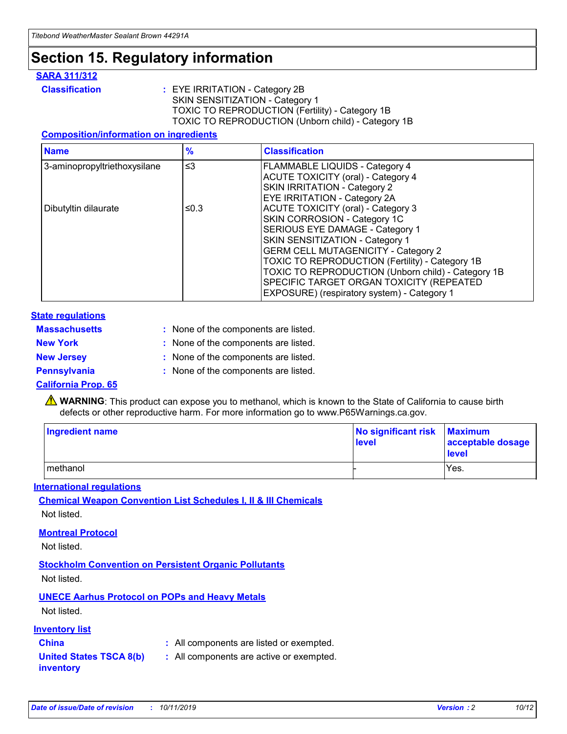## **Section 15. Regulatory information**

#### **SARA 311/312**

**Classification :** EYE IRRITATION - Category 2B SKIN SENSITIZATION - Category 1 TOXIC TO REPRODUCTION (Fertility) - Category 1B TOXIC TO REPRODUCTION (Unborn child) - Category 1B

#### **Composition/information on ingredients**

| <b>Name</b>                  | $\frac{9}{6}$ | <b>Classification</b>                                                                                                                                                                                                                                                                                                                  |
|------------------------------|---------------|----------------------------------------------------------------------------------------------------------------------------------------------------------------------------------------------------------------------------------------------------------------------------------------------------------------------------------------|
| 3-aminopropyltriethoxysilane | $\leq$ 3      | <b>FLAMMABLE LIQUIDS - Category 4</b><br><b>ACUTE TOXICITY (oral) - Category 4</b><br>SKIN IRRITATION - Category 2                                                                                                                                                                                                                     |
| Dibutyltin dilaurate         | ≤0.3          | EYE IRRITATION - Category 2A<br><b>ACUTE TOXICITY (oral) - Category 3</b><br>SKIN CORROSION - Category 1C<br>SERIOUS EYE DAMAGE - Category 1<br>SKIN SENSITIZATION - Category 1<br><b>GERM CELL MUTAGENICITY - Category 2</b><br>TOXIC TO REPRODUCTION (Fertility) - Category 1B<br>TOXIC TO REPRODUCTION (Unborn child) - Category 1B |
|                              |               | SPECIFIC TARGET ORGAN TOXICITY (REPEATED<br>EXPOSURE) (respiratory system) - Category 1                                                                                                                                                                                                                                                |

#### **State regulations**

| <b>Massachusetts</b> | : None of the components are listed. |
|----------------------|--------------------------------------|
| <b>New York</b>      | : None of the components are listed. |
| <b>New Jersey</b>    | : None of the components are listed. |
| <b>Pennsylvania</b>  | : None of the components are listed. |

#### **California Prop. 65**

**A** WARNING: This product can expose you to methanol, which is known to the State of California to cause birth defects or other reproductive harm. For more information go to www.P65Warnings.ca.gov.

| <b>Ingredient name</b> | No significant risk Maximum<br>level | acceptable dosage<br>level |
|------------------------|--------------------------------------|----------------------------|
| methanol               |                                      | Yes.                       |

#### **International regulations**

**Chemical Weapon Convention List Schedules I, II & III Chemicals** Not listed.

#### **Montreal Protocol**

Not listed.

**Stockholm Convention on Persistent Organic Pollutants**

Not listed.

#### **UNECE Aarhus Protocol on POPs and Heavy Metals**

Not listed.

#### **Inventory list**

### **China :** All components are listed or exempted.

**United States TSCA 8(b) inventory :** All components are active or exempted.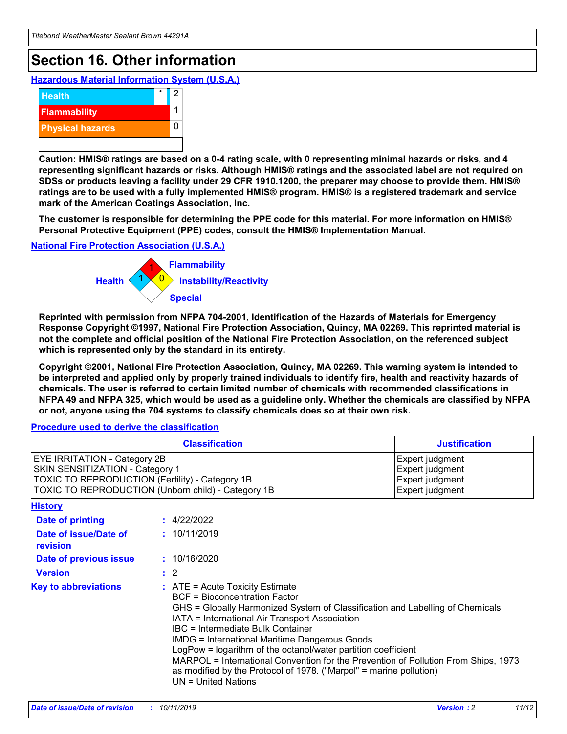## **Section 16. Other information**

**Hazardous Material Information System (U.S.A.)**



**Caution: HMIS® ratings are based on a 0-4 rating scale, with 0 representing minimal hazards or risks, and 4 representing significant hazards or risks. Although HMIS® ratings and the associated label are not required on SDSs or products leaving a facility under 29 CFR 1910.1200, the preparer may choose to provide them. HMIS® ratings are to be used with a fully implemented HMIS® program. HMIS® is a registered trademark and service mark of the American Coatings Association, Inc.**

**The customer is responsible for determining the PPE code for this material. For more information on HMIS® Personal Protective Equipment (PPE) codes, consult the HMIS® Implementation Manual.**

#### **National Fire Protection Association (U.S.A.)**



**Reprinted with permission from NFPA 704-2001, Identification of the Hazards of Materials for Emergency Response Copyright ©1997, National Fire Protection Association, Quincy, MA 02269. This reprinted material is not the complete and official position of the National Fire Protection Association, on the referenced subject which is represented only by the standard in its entirety.**

**Copyright ©2001, National Fire Protection Association, Quincy, MA 02269. This warning system is intended to be interpreted and applied only by properly trained individuals to identify fire, health and reactivity hazards of chemicals. The user is referred to certain limited number of chemicals with recommended classifications in NFPA 49 and NFPA 325, which would be used as a guideline only. Whether the chemicals are classified by NFPA or not, anyone using the 704 systems to classify chemicals does so at their own risk.**

#### **Procedure used to derive the classification**

| <b>Classification</b>                                                                                                                                                                  |                                                                                                                                                                                                                                                                   | <b>Justification</b>                                                                                                                                                                                                                                                                                       |  |
|----------------------------------------------------------------------------------------------------------------------------------------------------------------------------------------|-------------------------------------------------------------------------------------------------------------------------------------------------------------------------------------------------------------------------------------------------------------------|------------------------------------------------------------------------------------------------------------------------------------------------------------------------------------------------------------------------------------------------------------------------------------------------------------|--|
| <b>EYE IRRITATION - Category 2B</b><br>SKIN SENSITIZATION - Category 1<br><b>TOXIC TO REPRODUCTION (Fertility) - Category 1B</b><br>TOXIC TO REPRODUCTION (Unborn child) - Category 1B |                                                                                                                                                                                                                                                                   | Expert judgment<br>Expert judgment<br>Expert judgment<br>Expert judgment                                                                                                                                                                                                                                   |  |
| <b>History</b>                                                                                                                                                                         |                                                                                                                                                                                                                                                                   |                                                                                                                                                                                                                                                                                                            |  |
| <b>Date of printing</b>                                                                                                                                                                | : 4/22/2022                                                                                                                                                                                                                                                       |                                                                                                                                                                                                                                                                                                            |  |
| Date of issue/Date of<br>revision                                                                                                                                                      | : 10/11/2019                                                                                                                                                                                                                                                      |                                                                                                                                                                                                                                                                                                            |  |
| Date of previous issue                                                                                                                                                                 | : 10/16/2020                                                                                                                                                                                                                                                      |                                                                                                                                                                                                                                                                                                            |  |
| <b>Version</b>                                                                                                                                                                         | $\therefore$ 2                                                                                                                                                                                                                                                    |                                                                                                                                                                                                                                                                                                            |  |
| <b>Key to abbreviations</b>                                                                                                                                                            | $\therefore$ ATE = Acute Toxicity Estimate<br><b>BCF</b> = Bioconcentration Factor<br>IATA = International Air Transport Association<br><b>IBC</b> = Intermediate Bulk Container<br><b>IMDG = International Maritime Dangerous Goods</b><br>$UN = United Nations$ | GHS = Globally Harmonized System of Classification and Labelling of Chemicals<br>LogPow = logarithm of the octanol/water partition coefficient<br>MARPOL = International Convention for the Prevention of Pollution From Ships, 1973<br>as modified by the Protocol of 1978. ("Marpol" = marine pollution) |  |